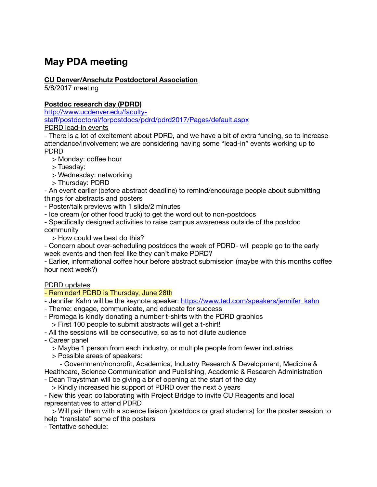# **May PDA meeting**

# **CU Denver/Anschutz Postdoctoral Association**

5/8/2017 meeting

## **Postdoc research day (PDRD)**

http://www.ucdenver.edu/facultystaff[/postdoctoral/forpostdocs/pdrd/pdrd2017/Pages/default.aspx](http://www.ucdenver.edu/faculty-staff/postdoctoral/forpostdocs/pdrd/pdrd2017/Pages/default.aspx) PDRD lead-in events

- There is a lot of excitement about PDRD, and we have a bit of extra funding, so to increase attendance/involvement we are considering having some "lead-in" events working up to PDRD

- > Monday: coffee hour
- > Tuesday:
- > Wednesday: networking
- > Thursday: PDRD

- An event earlier (before abstract deadline) to remind/encourage people about submitting things for abstracts and posters

- Poster/talk previews with 1 slide/2 minutes
- Ice cream (or other food truck) to get the word out to non-postdocs

- Specifically designed activities to raise campus awareness outside of the postdoc community

> How could we best do this?

- Concern about over-scheduling postdocs the week of PDRD- will people go to the early week events and then feel like they can't make PDRD?

- Earlier, informational coffee hour before abstract submission (maybe with this months coffee hour next week?)

#### PDRD updates

# - Reminder! PDRD is Thursday, June 28th

- Jennifer Kahn will be the keynote speaker: [https://www.ted.com/speakers/jennifer\\_kahn](https://www.ted.com/speakers/jennifer_kahn)
- Theme: engage, communicate, and educate for success
- Promega is kindly donating a number t-shirts with the PDRD graphics
	- > First 100 people to submit abstracts will get a t-shirt!
- All the sessions will be consecutive, so as to not dilute audience
- Career panel
	- > Maybe 1 person from each industry, or multiple people from fewer industries
	- > Possible areas of speakers:

 - Government/nonprofit, Academica, Industry Research & Development, Medicine & Healthcare, Science Communication and Publishing, Academic & Research Administration

- Dean Traystman will be giving a brief opening at the start of the day
	- > Kindly increased his support of PDRD over the next 5 years

- New this year: collaborating with Project Bridge to invite CU Reagents and local representatives to attend PDRD

 > Will pair them with a science liaison (postdocs or grad students) for the poster session to help "translate" some of the posters

- Tentative schedule: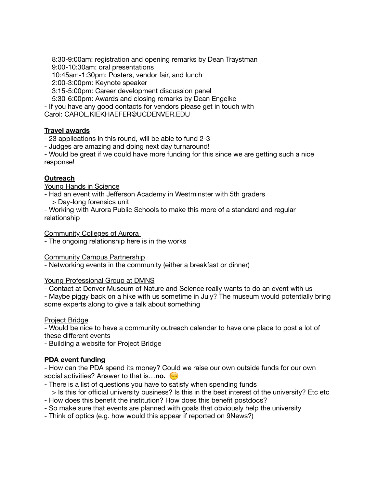8:30-9:00am: registration and opening remarks by Dean Traystman 9:00-10:30am: oral presentations 10:45am-1:30pm: Posters, vendor fair, and lunch 2:00-3:00pm: Keynote speaker 3:15-5:00pm: Career development discussion panel 5:30-6:00pm: Awards and closing remarks by Dean Engelke - If you have any good contacts for vendors please get in touch with Carol: CAROL.KIEKHAEFER@UCDENVER.EDU

# **Travel awards**

- 23 applications in this round, will be able to fund 2-3

- Judges are amazing and doing next day turnaround!

- Would be great if we could have more funding for this since we are getting such a nice response!

## **Outreach**

Young Hands in Science

- Had an event with Jefferson Academy in Westminster with 5th graders > Day-long forensics unit
- Working with Aurora Public Schools to make this more of a standard and regular relationship

Community Colleges of Aurora

- The ongoing relationship here is in the works

#### Community Campus Partnership

- Networking events in the community (either a breakfast or dinner)

#### Young Professional Group at DMNS

- Contact at Denver Museum of Nature and Science really wants to do an event with us

- Maybe piggy back on a hike with us sometime in July? The museum would potentially bring some experts along to give a talk about something

#### Project Bridge

- Would be nice to have a community outreach calendar to have one place to post a lot of these different events

- Building a website for Project Bridge

#### **PDA event funding**

- How can the PDA spend its money? Could we raise our own outside funds for our own social activities? Answer to that is…**no.** 

- There is a list of questions you have to satisfy when spending funds
- > Is this for official university business? Is this in the best interest of the university? Etc etc - How does this benefit the institution? How does this benefit postdocs?
- So make sure that events are planned with goals that obviously help the university
- Think of optics (e.g. how would this appear if reported on 9News?)